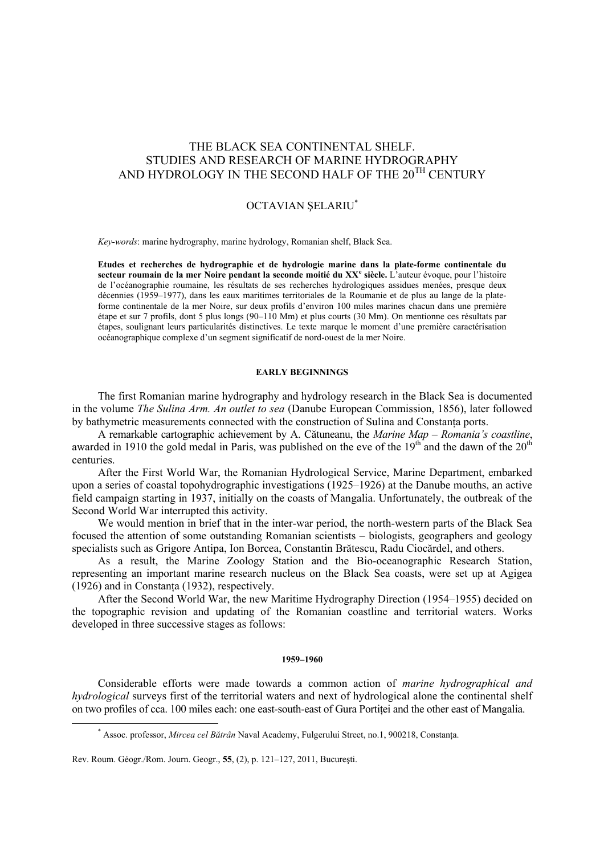# THE BLACK SEA CONTINENTAL SHELF. STUDIES AND RESEARCH OF MARINE HYDROGRAPHY AND HYDROLOGY IN THE SECOND HALF OF THE  $20^{TH}$  CENTURY

## OCTAVIAN ŞELARIU\*

*Key-words*: marine hydrography, marine hydrology, Romanian shelf, Black Sea.

**Etudes et recherches de hydrographie et de hydrologie marine dans la plate-forme continentale du secteur roumain de la mer Noire pendant la seconde moitié du XX<sup>e</sup> siècle.** L'auteur évoque, pour l'histoire de l'océanographie roumaine, les résultats de ses recherches hydrologiques assidues menées, presque deux décennies (1959–1977), dans les eaux maritimes territoriales de la Roumanie et de plus au lange de la plateforme continentale de la mer Noire, sur deux profils d'environ 100 miles marines chacun dans une première étape et sur 7 profils, dont 5 plus longs (90–110 Mm) et plus courts (30 Mm). On mentionne ces résultats par étapes, soulignant leurs particularités distinctives. Le texte marque le moment d'une première caractérisation océanographique complexe d'un segment significatif de nord-ouest de la mer Noire.

## **EARLY BEGINNINGS**

The first Romanian marine hydrography and hydrology research in the Black Sea is documented in the volume *The Sulina Arm. An outlet to sea* (Danube European Commission, 1856), later followed by bathymetric measurements connected with the construction of Sulina and Constanta ports.

A remarkable cartographic achievement by A. Cătuneanu, the *Marine Map – Romania's coastline*, awarded in 1910 the gold medal in Paris, was published on the eve of the  $19<sup>th</sup>$  and the dawn of the  $20<sup>th</sup>$ centuries.

After the First World War, the Romanian Hydrological Service, Marine Department, embarked upon a series of coastal topohydrographic investigations (1925–1926) at the Danube mouths, an active field campaign starting in 1937, initially on the coasts of Mangalia. Unfortunately, the outbreak of the Second World War interrupted this activity.

We would mention in brief that in the inter-war period, the north-western parts of the Black Sea focused the attention of some outstanding Romanian scientists – biologists, geographers and geology specialists such as Grigore Antipa, Ion Borcea, Constantin Brătescu, Radu Ciocărdel, and others.

As a result, the Marine Zoology Station and the Bio-oceanographic Research Station, representing an important marine research nucleus on the Black Sea coasts, were set up at Agigea (1926) and in Constanţa (1932), respectively.

After the Second World War, the new Maritime Hydrography Direction (1954–1955) decided on the topographic revision and updating of the Romanian coastline and territorial waters. Works developed in three successive stages as follows:

#### **1959–1960**

Considerable efforts were made towards a common action of *marine hydrographical and hydrological* surveys first of the territorial waters and next of hydrological alone the continental shelf on two profiles of cca. 100 miles each: one east-south-east of Gura Portitei and the other east of Mangalia.

 <sup>\*</sup> Assoc. professor, *Mircea cel Bătrân* Naval Academy, Fulgerului Street, no.1, 900218, Constanţa.

Rev. Roum. Géogr./Rom. Journ. Geogr., **55**, (2), p. 121–127, 2011, Bucureşti.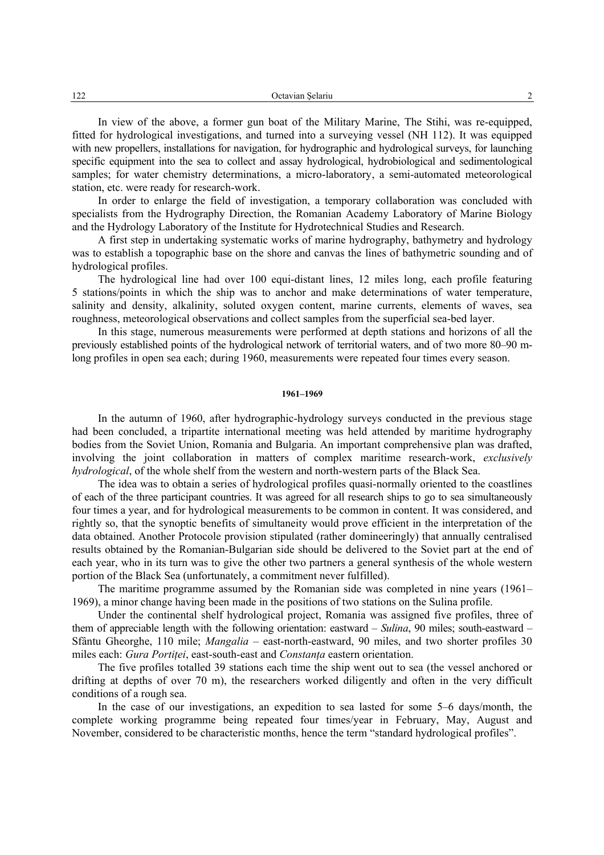In view of the above, a former gun boat of the Military Marine, The Stihi, was re-equipped, fitted for hydrological investigations, and turned into a surveying vessel (NH 112). It was equipped with new propellers, installations for navigation, for hydrographic and hydrological surveys, for launching specific equipment into the sea to collect and assay hydrological, hydrobiological and sedimentological samples; for water chemistry determinations, a micro-laboratory, a semi-automated meteorological station, etc. were ready for research-work.

In order to enlarge the field of investigation, a temporary collaboration was concluded with specialists from the Hydrography Direction, the Romanian Academy Laboratory of Marine Biology and the Hydrology Laboratory of the Institute for Hydrotechnical Studies and Research.

A first step in undertaking systematic works of marine hydrography, bathymetry and hydrology was to establish a topographic base on the shore and canvas the lines of bathymetric sounding and of hydrological profiles.

The hydrological line had over 100 equi-distant lines, 12 miles long, each profile featuring 5 stations/points in which the ship was to anchor and make determinations of water temperature, salinity and density, alkalinity, soluted oxygen content, marine currents, elements of waves, sea roughness, meteorological observations and collect samples from the superficial sea-bed layer.

In this stage, numerous measurements were performed at depth stations and horizons of all the previously established points of the hydrological network of territorial waters, and of two more 80–90 mlong profiles in open sea each; during 1960, measurements were repeated four times every season.

## **1961–1969**

In the autumn of 1960, after hydrographic-hydrology surveys conducted in the previous stage had been concluded, a tripartite international meeting was held attended by maritime hydrography bodies from the Soviet Union, Romania and Bulgaria. An important comprehensive plan was drafted, involving the joint collaboration in matters of complex maritime research-work, *exclusively hydrological*, of the whole shelf from the western and north-western parts of the Black Sea.

The idea was to obtain a series of hydrological profiles quasi-normally oriented to the coastlines of each of the three participant countries. It was agreed for all research ships to go to sea simultaneously four times a year, and for hydrological measurements to be common in content. It was considered, and rightly so, that the synoptic benefits of simultaneity would prove efficient in the interpretation of the data obtained. Another Protocole provision stipulated (rather domineeringly) that annually centralised results obtained by the Romanian-Bulgarian side should be delivered to the Soviet part at the end of each year, who in its turn was to give the other two partners a general synthesis of the whole western portion of the Black Sea (unfortunately, a commitment never fulfilled).

The maritime programme assumed by the Romanian side was completed in nine years (1961– 1969), a minor change having been made in the positions of two stations on the Sulina profile.

Under the continental shelf hydrological project, Romania was assigned five profiles, three of them of appreciable length with the following orientation: eastward – *Sulina*, 90 miles; south-eastward – Sfântu Gheorghe, 110 mile; *Mangalia* – east-north-eastward, 90 miles, and two shorter profiles 30 miles each: *Gura Portitei*, east-south-east and *Constanta* eastern orientation.

The five profiles totalled 39 stations each time the ship went out to sea (the vessel anchored or drifting at depths of over 70 m), the researchers worked diligently and often in the very difficult conditions of a rough sea.

In the case of our investigations, an expedition to sea lasted for some 5–6 days/month, the complete working programme being repeated four times/year in February, May, August and November, considered to be characteristic months, hence the term "standard hydrological profiles".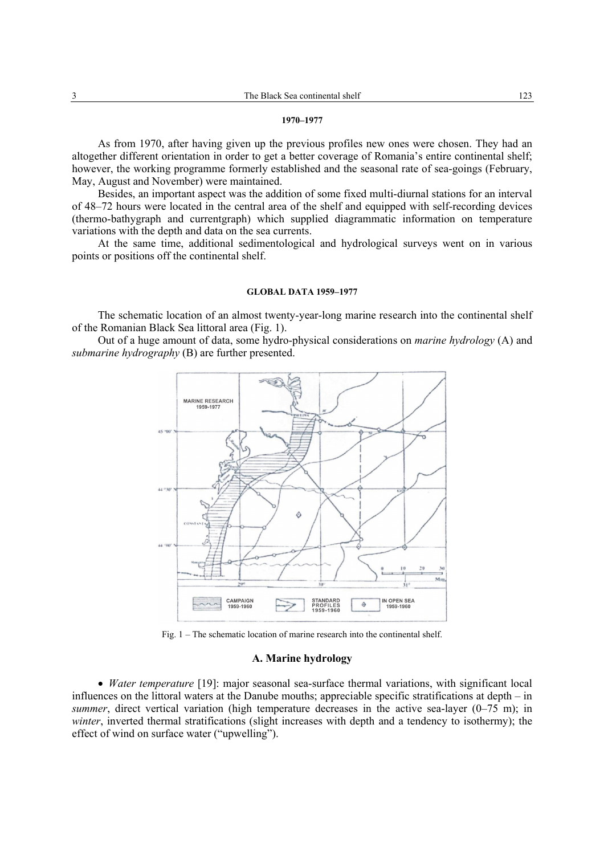#### **1970–1977**

As from 1970, after having given up the previous profiles new ones were chosen. They had an altogether different orientation in order to get a better coverage of Romania's entire continental shelf; however, the working programme formerly established and the seasonal rate of sea-goings (February, May, August and November) were maintained.

Besides, an important aspect was the addition of some fixed multi-diurnal stations for an interval of 48–72 hours were located in the central area of the shelf and equipped with self-recording devices (thermo-bathygraph and currentgraph) which supplied diagrammatic information on temperature variations with the depth and data on the sea currents.

At the same time, additional sedimentological and hydrological surveys went on in various points or positions off the continental shelf.

#### **GLOBAL DATA 1959–1977**

The schematic location of an almost twenty-year-long marine research into the continental shelf of the Romanian Black Sea littoral area (Fig. 1).

Out of a huge amount of data, some hydro-physical considerations on *marine hydrology* (A) and *submarine hydrography* (B) are further presented.



Fig. 1 – The schematic location of marine research into the continental shelf.

#### **A. Marine hydrology**

• *Water temperature* [19]: major seasonal sea-surface thermal variations, with significant local influences on the littoral waters at the Danube mouths; appreciable specific stratifications at depth – in *summer*, direct vertical variation (high temperature decreases in the active sea-layer (0–75 m); in *winter*, inverted thermal stratifications (slight increases with depth and a tendency to isothermy); the effect of wind on surface water ("upwelling").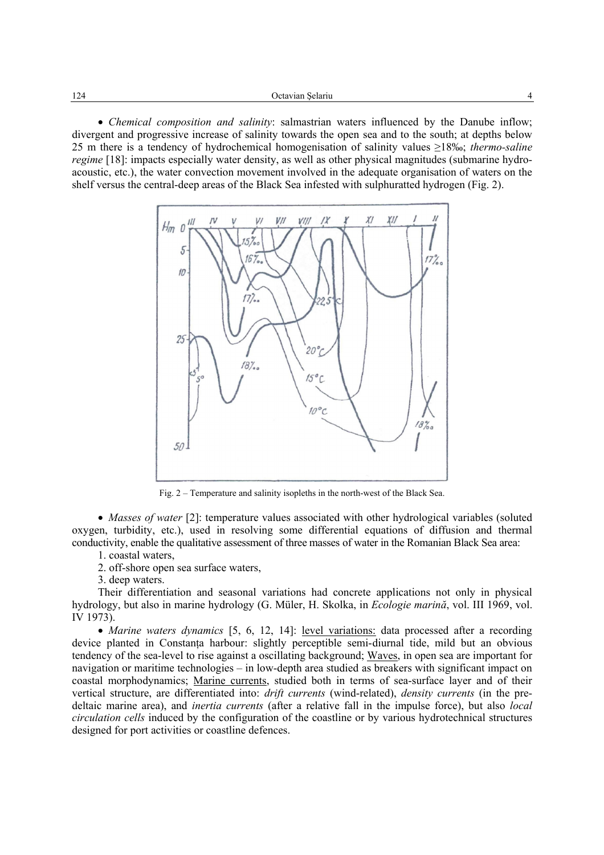• *Chemical composition and salinity*: salmastrian waters influenced by the Danube inflow; divergent and progressive increase of salinity towards the open sea and to the south; at depths below 25 m there is a tendency of hydrochemical homogenisation of salinity values ≥18‰; *thermo-saline regime* [18]: impacts especially water density, as well as other physical magnitudes (submarine hydroacoustic, etc.), the water convection movement involved in the adequate organisation of waters on the shelf versus the central-deep areas of the Black Sea infested with sulphuratted hydrogen (Fig. 2).



Fig. 2 – Temperature and salinity isopleths in the north-west of the Black Sea.

• *Masses of water* [2]: temperature values associated with other hydrological variables (soluted oxygen, turbidity, etc.), used in resolving some differential equations of diffusion and thermal conductivity, enable the qualitative assessment of three masses of water in the Romanian Black Sea area:

- 1. coastal waters,
- 2. off-shore open sea surface waters,

3. deep waters.

Their differentiation and seasonal variations had concrete applications not only in physical hydrology, but also in marine hydrology (G. Müler, H. Skolka, in *Ecologie marină*, vol. III 1969, vol. IV 1973).

• *Marine waters dynamics* [5, 6, 12, 14]: level variations: data processed after a recording device planted in Constanţa harbour: slightly perceptible semi-diurnal tide, mild but an obvious tendency of the sea-level to rise against a oscillating background; Waves, in open sea are important for navigation or maritime technologies – in low-depth area studied as breakers with significant impact on coastal morphodynamics; Marine currents, studied both in terms of sea-surface layer and of their vertical structure, are differentiated into: *drift currents* (wind-related), *density currents* (in the predeltaic marine area), and *inertia currents* (after a relative fall in the impulse force), but also *local circulation cells* induced by the configuration of the coastline or by various hydrotechnical structures designed for port activities or coastline defences.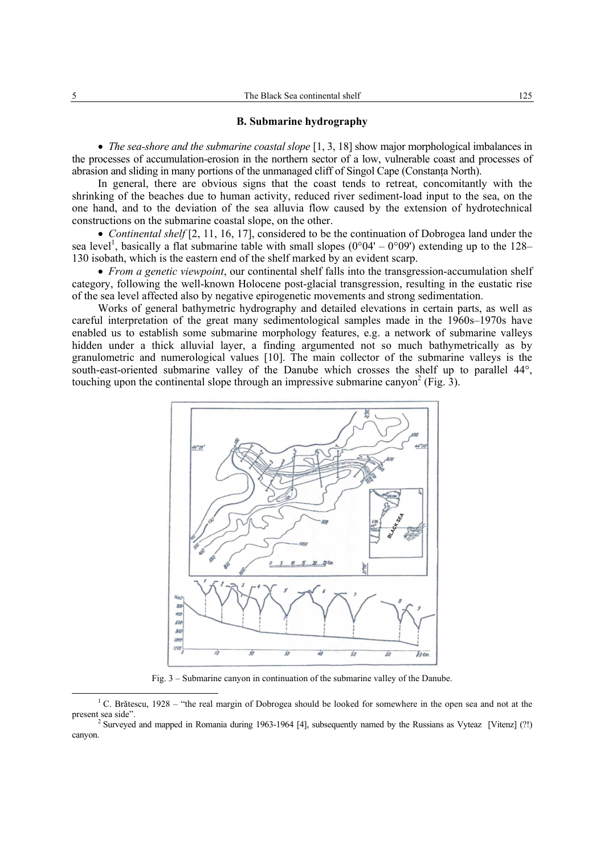## **B. Submarine hydrography**

• *The sea-shore and the submarine coastal slope* [1, 3, 18] show major morphological imbalances in the processes of accumulation-erosion in the northern sector of a low, vulnerable coast and processes of abrasion and sliding in many portions of the unmanaged cliff of Singol Cape (Constanţa North).

In general, there are obvious signs that the coast tends to retreat, concomitantly with the shrinking of the beaches due to human activity, reduced river sediment-load input to the sea, on the one hand, and to the deviation of the sea alluvia flow caused by the extension of hydrotechnical constructions on the submarine coastal slope, on the other.

• *Continental shelf* [2, 11, 16, 17], considered to be the continuation of Dobrogea land under the sea level<sup>1</sup>, basically a flat submarine table with small slopes (0°04' – 0°09') extending up to the 128– 130 isobath, which is the eastern end of the shelf marked by an evident scarp.

• *From a genetic viewpoint*, our continental shelf falls into the transgression-accumulation shelf category, following the well-known Holocene post-glacial transgression, resulting in the eustatic rise of the sea level affected also by negative epirogenetic movements and strong sedimentation.

Works of general bathymetric hydrography and detailed elevations in certain parts, as well as careful interpretation of the great many sedimentological samples made in the 1960s–1970s have enabled us to establish some submarine morphology features, e.g. a network of submarine valleys hidden under a thick alluvial layer, a finding argumented not so much bathymetrically as by granulometric and numerological values [10]. The main collector of the submarine valleys is the south-east-oriented submarine valley of the Danube which crosses the shelf up to parallel 44°, touching upon the continental slope through an impressive submarine canyon<sup>2</sup> (Fig.  $\hat{3}$ ).



Fig. 3 – Submarine canyon in continuation of the submarine valley of the Danube.

 $\frac{1}{1}$ <sup>1</sup> C. Brătescu, 1928 – "the real margin of Dobrogea should be looked for somewhere in the open sea and not at the present sea side"

<sup>&</sup>lt;sup>2</sup> Surveyed and mapped in Romania during 1963-1964 [4], subsequently named by the Russians as Vyteaz [Vitenz] (?!) canyon.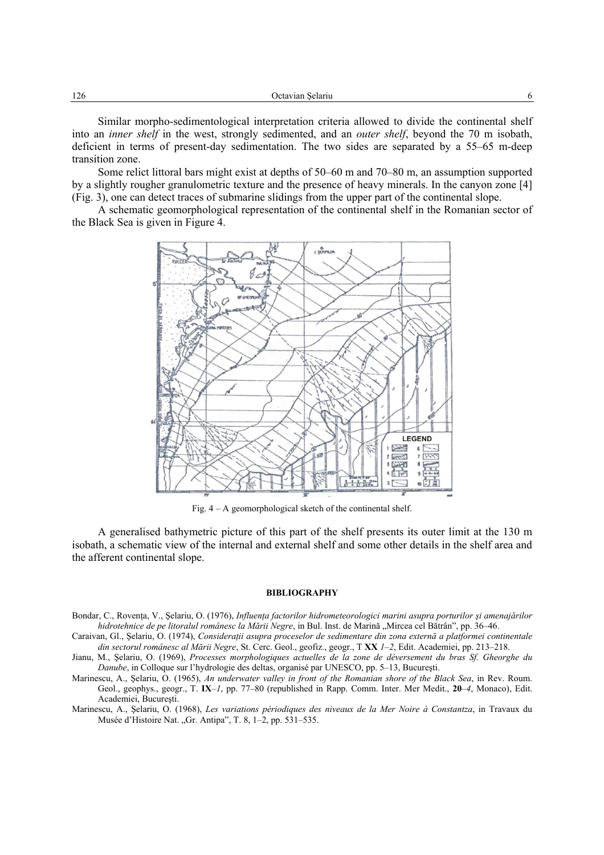Similar morpho-sedimentological interpretation criteria allowed to divide the continental shelf into an *inner shelf* in the west, strongly sedimented, and an *outer shelf*, beyond the 70 m isobath, deficient in terms of present-day sedimentation. The two sides are separated by a 55–65 m-deep transition zone.

Some relict littoral bars might exist at depths of 50–60 m and 70–80 m, an assumption supported by a slightly rougher granulometric texture and the presence of heavy minerals. In the canyon zone [4] (Fig. 3), one can detect traces of submarine slidings from the upper part of the continental slope.

A schematic geomorphological representation of the continental shelf in the Romanian sector of the Black Sea is given in Figure 4.



Fig. 4 – A geomorphological sketch of the continental shelf.

A generalised bathymetric picture of this part of the shelf presents its outer limit at the 130 m isobath, a schematic view of the internal and external shelf and some other details in the shelf area and the afferent continental slope.

## **BIBLIOGRAPHY**

- Bondar, C., Rovența, V., Șelariu, O. (1976), *Influența factorilor hidrometeorologici marini asupra porturilor și amenajărilor hidrotehnice de pe litoralul românesc la Mării Negre*, in Bul. Inst. de Marină "Mircea cel Bătrân", pp. 36–46.
- Caraivan, Gl., Şelariu, O. (1974), *Consideraţii asupra proceselor de sedimentare din zona externă a platformei continentale din sectorul românesc al Mării Negre*, St. Cerc. Geol., geofiz., geogr., T **XX** *1–2*, Edit. Academiei, pp. 213–218.
- Jianu, M., Şelariu, O. (1969), *Processes morphologiques actuelles de la zone de déversement du bras Sf. Gheorghe du Danube*, in Colloque sur l'hydrologie des deltas, organisé par UNESCO, pp. 5–13, Bucureşti.
- Marinescu, A., Şelariu, O. (1965), *An underwater valley in front of the Romanian shore of the Black Sea*, in Rev. Roum. Geol., geophys., geogr., T. **IX**–*1*, pp. 77–80 (republished in Rapp. Comm. Inter. Mer Medit., **20**–*4*, Monaco), Edit. Academiei, Bucureşti.
- Marinescu, A., Şelariu, O. (1968), *Les variations périodiques des niveaux de la Mer Noire à Constantza*, in Travaux du Musée d'Histoire Nat. "Gr. Antipa", T. 8, 1–2, pp. 531–535.